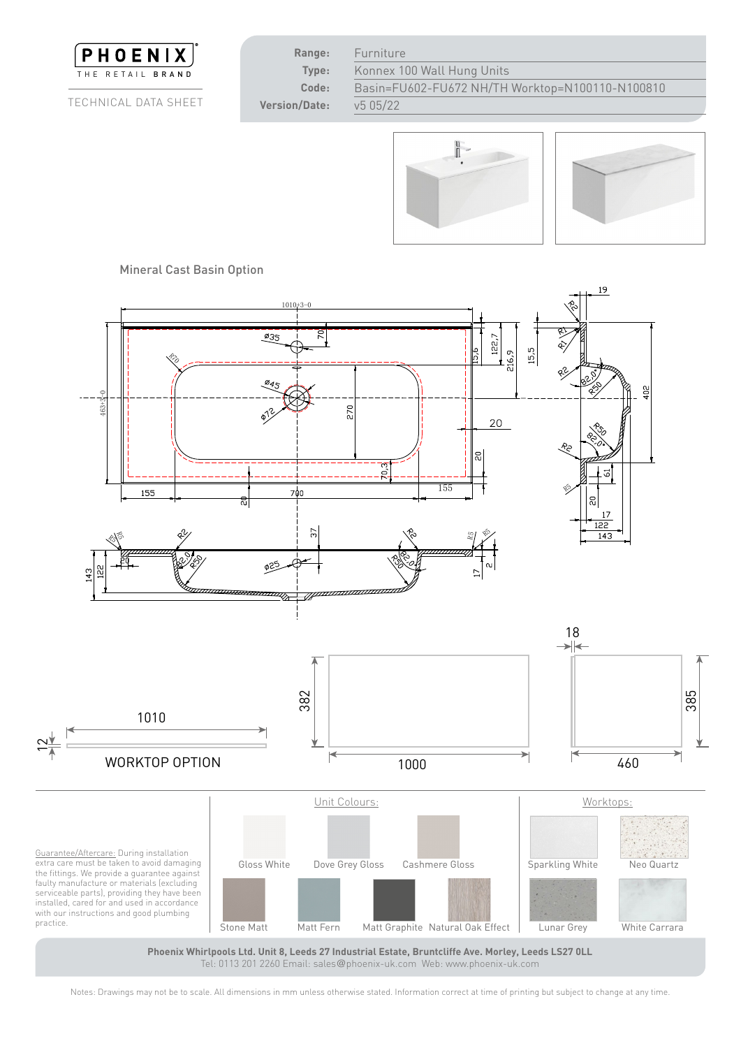





Mineral Cast Basin Option<br>



Tel: 0113 201 2260 Email: sales@phoenix-uk.com Web: www.phoenix-uk.com 460

Notes: Drawings may not be to scale. All dimensions in mm unless otherwise stated. Information correct at time of printing but subject to change at any time.